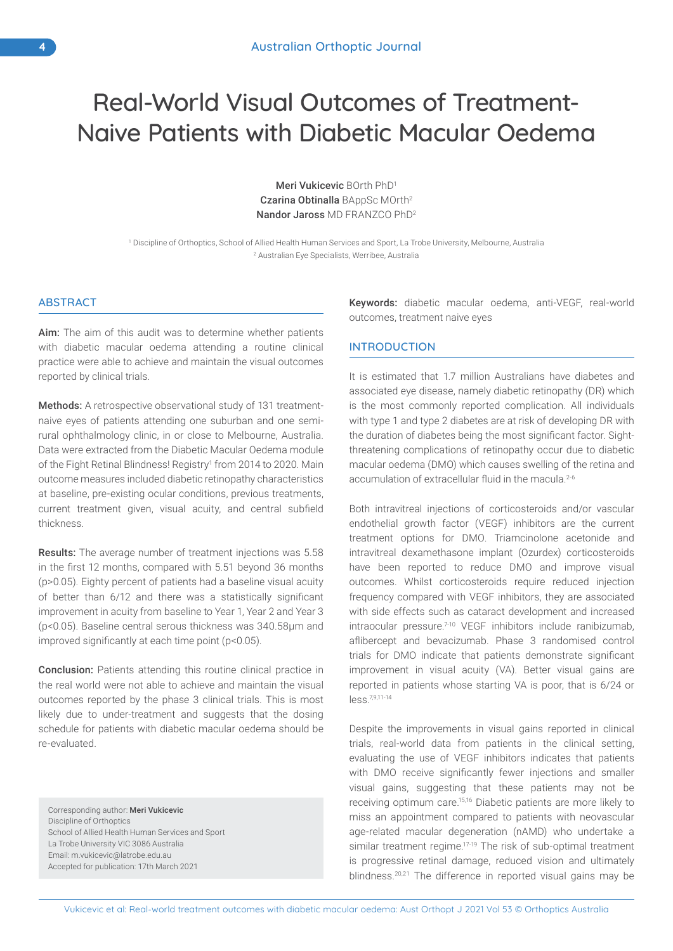# Real-World Visual Outcomes of Treatment-Naive Patients with Diabetic Macular Oedema

Meri Vukicevic BOrth PhD1 Czarina Obtinalla BAppSc MOrth2 Nandor Jaross MD FRANZCO PhD2

1 Discipline of Orthoptics, School of Allied Health Human Services and Sport, La Trobe University, Melbourne, Australia 2 Australian Eye Specialists, Werribee, Australia

# ABSTRACT

Aim: The aim of this audit was to determine whether patients with diabetic macular oedema attending a routine clinical practice were able to achieve and maintain the visual outcomes reported by clinical trials.

Methods: A retrospective observational study of 131 treatmentnaive eyes of patients attending one suburban and one semirural ophthalmology clinic, in or close to Melbourne, Australia. Data were extracted from the Diabetic Macular Oedema module of the Fight Retinal Blindness! Registry<sup>1</sup> from 2014 to 2020. Main outcome measures included diabetic retinopathy characteristics at baseline, pre-existing ocular conditions, previous treatments, current treatment given, visual acuity, and central subfield thickness.

Results: The average number of treatment injections was 5.58 in the first 12 months, compared with 5.51 beyond 36 months (p>0.05). Eighty percent of patients had a baseline visual acuity of better than 6/12 and there was a statistically significant improvement in acuity from baseline to Year 1, Year 2 and Year 3 (p<0.05). Baseline central serous thickness was 340.58µm and improved significantly at each time point (p<0.05).

Conclusion: Patients attending this routine clinical practice in the real world were not able to achieve and maintain the visual outcomes reported by the phase 3 clinical trials. This is most likely due to under-treatment and suggests that the dosing schedule for patients with diabetic macular oedema should be re-evaluated.

Corresponding author: Meri Vukicevic Discipline of Orthoptics School of Allied Health Human Services and Sport La Trobe University VIC 3086 Australia Email: m.vukicevic@latrobe.edu.au Accepted for publication: 17th March 2021

Keywords: diabetic macular oedema, anti-VEGF, real-world outcomes, treatment naive eyes

# **INTRODUCTION**

It is estimated that 1.7 million Australians have diabetes and associated eye disease, namely diabetic retinopathy (DR) which is the most commonly reported complication. All individuals with type 1 and type 2 diabetes are at risk of developing DR with the duration of diabetes being the most significant factor. Sightthreatening complications of retinopathy occur due to diabetic macular oedema (DMO) which causes swelling of the retina and accumulation of extracellular fluid in the macula.<sup>2-6</sup>

Both intravitreal injections of corticosteroids and/or vascular endothelial growth factor (VEGF) inhibitors are the current treatment options for DMO. Triamcinolone acetonide and intravitreal dexamethasone implant (Ozurdex) corticosteroids have been reported to reduce DMO and improve visual outcomes. Whilst corticosteroids require reduced injection frequency compared with VEGF inhibitors, they are associated with side effects such as cataract development and increased intraocular pressure.<sup>7-10</sup> VEGF inhibitors include ranibizumab, aflibercept and bevacizumab. Phase 3 randomised control trials for DMO indicate that patients demonstrate significant improvement in visual acuity (VA). Better visual gains are reported in patients whose starting VA is poor, that is 6/24 or less.7,9,11-14

Despite the improvements in visual gains reported in clinical trials, real-world data from patients in the clinical setting, evaluating the use of VEGF inhibitors indicates that patients with DMO receive significantly fewer injections and smaller visual gains, suggesting that these patients may not be receiving optimum care.15,16 Diabetic patients are more likely to miss an appointment compared to patients with neovascular age-related macular degeneration (nAMD) who undertake a similar treatment regime.<sup>17-19</sup> The risk of sub-optimal treatment is progressive retinal damage, reduced vision and ultimately blindness.20,21 The difference in reported visual gains may be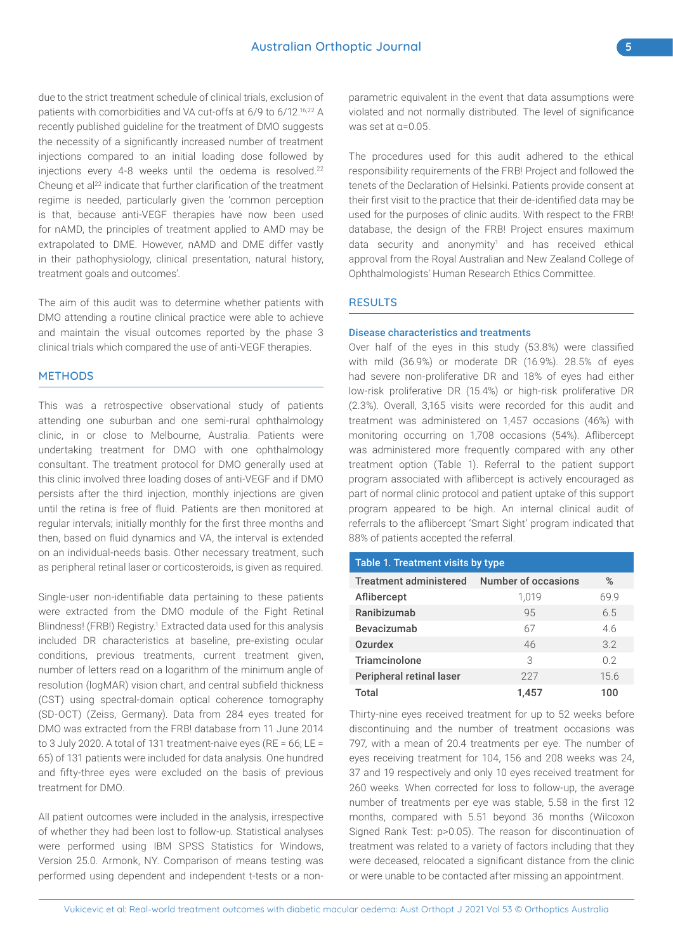due to the strict treatment schedule of clinical trials, exclusion of patients with comorbidities and VA cut-offs at 6/9 to 6/12.16,22 A recently published guideline for the treatment of DMO suggests the necessity of a significantly increased number of treatment injections compared to an initial loading dose followed by injections every 4-8 weeks until the oedema is resolved.<sup>22</sup> Cheung et al<sup>22</sup> indicate that further clarification of the treatment regime is needed, particularly given the 'common perception is that, because anti-VEGF therapies have now been used for nAMD, the principles of treatment applied to AMD may be extrapolated to DME. However, nAMD and DME differ vastly in their pathophysiology, clinical presentation, natural history, treatment goals and outcomes'.

The aim of this audit was to determine whether patients with DMO attending a routine clinical practice were able to achieve and maintain the visual outcomes reported by the phase 3 clinical trials which compared the use of anti-VEGF therapies.

## **METHODS**

This was a retrospective observational study of patients attending one suburban and one semi-rural ophthalmology clinic, in or close to Melbourne, Australia. Patients were undertaking treatment for DMO with one ophthalmology consultant. The treatment protocol for DMO generally used at this clinic involved three loading doses of anti-VEGF and if DMO persists after the third injection, monthly injections are given until the retina is free of fluid. Patients are then monitored at regular intervals; initially monthly for the first three months and then, based on fluid dynamics and VA, the interval is extended on an individual-needs basis. Other necessary treatment, such as peripheral retinal laser or corticosteroids, is given as required.

Single-user non-identifiable data pertaining to these patients were extracted from the DMO module of the Fight Retinal Blindness! (FRB!) Registry.<sup>1</sup> Extracted data used for this analysis included DR characteristics at baseline, pre-existing ocular conditions, previous treatments, current treatment given, number of letters read on a logarithm of the minimum angle of resolution (logMAR) vision chart, and central subfield thickness (CST) using spectral-domain optical coherence tomography (SD-OCT) (Zeiss, Germany). Data from 284 eyes treated for DMO was extracted from the FRB! database from 11 June 2014 to 3 July 2020. A total of 131 treatment-naive eyes (RE = 66; LE = 65) of 131 patients were included for data analysis. One hundred and fifty-three eyes were excluded on the basis of previous treatment for DMO.

All patient outcomes were included in the analysis, irrespective of whether they had been lost to follow-up. Statistical analyses were performed using IBM SPSS Statistics for Windows, Version 25.0. Armonk, NY. Comparison of means testing was performed using dependent and independent t-tests or a nonparametric equivalent in the event that data assumptions were violated and not normally distributed. The level of significance was set at α=0.05.

The procedures used for this audit adhered to the ethical responsibility requirements of the FRB! Project and followed the tenets of the Declaration of Helsinki. Patients provide consent at their first visit to the practice that their de-identified data may be used for the purposes of clinic audits. With respect to the FRB! database, the design of the FRB! Project ensures maximum data security and anonymity<sup>1</sup> and has received ethical approval from the Royal Australian and New Zealand College of Ophthalmologists' Human Research Ethics Committee.

## **RESULTS**

#### Disease characteristics and treatments

Over half of the eyes in this study (53.8%) were classified with mild (36.9%) or moderate DR (16.9%). 28.5% of eyes had severe non-proliferative DR and 18% of eyes had either low-risk proliferative DR (15.4%) or high-risk proliferative DR (2.3%). Overall, 3,165 visits were recorded for this audit and treatment was administered on 1,457 occasions (46%) with monitoring occurring on 1,708 occasions (54%). Aflibercept was administered more frequently compared with any other treatment option (Table 1). Referral to the patient support program associated with aflibercept is actively encouraged as part of normal clinic protocol and patient uptake of this support program appeared to be high. An internal clinical audit of referrals to the aflibercept 'Smart Sight' program indicated that 88% of patients accepted the referral.

| Table 1. Treatment visits by type |                     |                |  |  |  |
|-----------------------------------|---------------------|----------------|--|--|--|
| <b>Treatment administered</b>     | Number of occasions | %              |  |  |  |
| Aflibercept                       | 1,019               | 69.9           |  |  |  |
| Ranibizumab                       | 95                  | 6.5            |  |  |  |
| Bevacizumab                       | 67                  | 46             |  |  |  |
| <b>Ozurdex</b>                    | 46                  | 3.2            |  |  |  |
| <b>Triamcinolone</b>              | 3                   | 0 <sub>2</sub> |  |  |  |
| Peripheral retinal laser          | 227                 | 15.6           |  |  |  |
| Total                             | 1.457               | 100            |  |  |  |

Thirty-nine eyes received treatment for up to 52 weeks before discontinuing and the number of treatment occasions was 797, with a mean of 20.4 treatments per eye. The number of eyes receiving treatment for 104, 156 and 208 weeks was 24, 37 and 19 respectively and only 10 eyes received treatment for 260 weeks. When corrected for loss to follow-up, the average number of treatments per eye was stable, 5.58 in the first 12 months, compared with 5.51 beyond 36 months (Wilcoxon Signed Rank Test: p>0.05). The reason for discontinuation of treatment was related to a variety of factors including that they were deceased, relocated a significant distance from the clinic or were unable to be contacted after missing an appointment.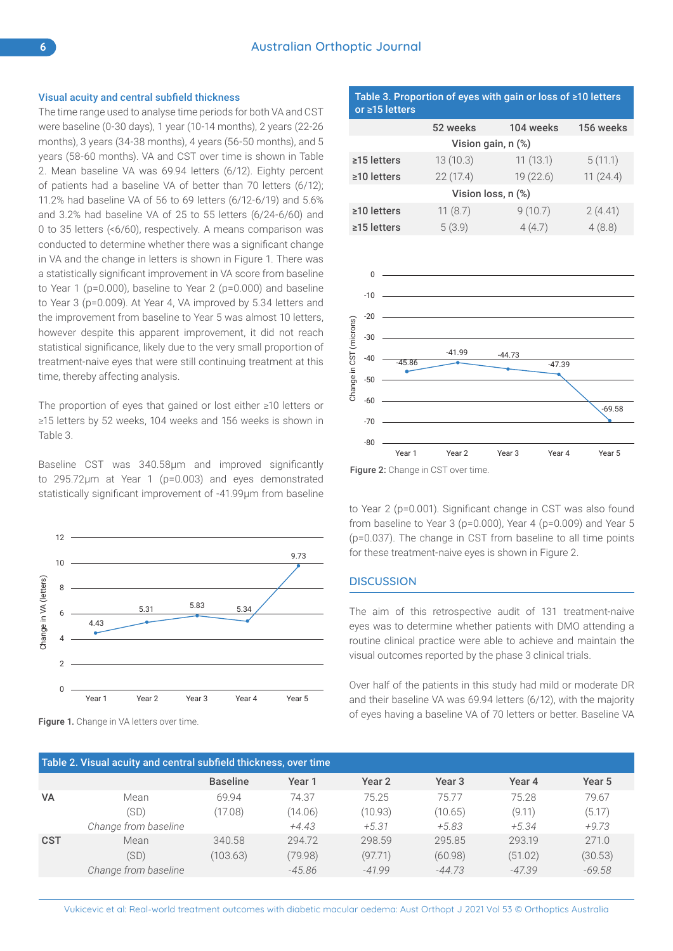#### Visual acuity and central subfield thickness

The time range used to analyse time periods for both VA and CST were baseline (0-30 days), 1 year (10-14 months), 2 years (22-26 months), 3 years (34-38 months), 4 years (56-50 months), and 5 years (58-60 months). VA and CST over time is shown in Table 2. Mean baseline VA was 69.94 letters (6/12). Eighty percent of patients had a baseline VA of better than 70 letters (6/12); 11.2% had baseline VA of 56 to 69 letters (6/12-6/19) and 5.6% and 3.2% had baseline VA of 25 to 55 letters (6/24-6/60) and 0 to 35 letters (<6/60), respectively. A means comparison was conducted to determine whether there was a significant change in VA and the change in letters is shown in Figure 1. There was a statistically significant improvement in VA score from baseline to Year 1 (p=0.000), baseline to Year 2 (p=0.000) and baseline to Year 3 (p=0.009). At Year 4, VA improved by 5.34 letters and the improvement from baseline to Year 5 was almost 10 letters, however despite this apparent improvement, it did not reach statistical significance, likely due to the very small proportion of treatment-naive eyes that were still continuing treatment at this time, thereby affecting analysis.

The proportion of eyes that gained or lost either ≥10 letters or ≥15 letters by 52 weeks, 104 weeks and 156 weeks is shown in Table 3.

Baseline CST was 340.58µm and improved significantly to 295.72µm at Year 1 (p=0.003) and eyes demonstrated statistically significant improvement of -41.99µm from baseline



**Figure 1.** Change in VA letters over time.

#### Table 3. Proportion of eyes with gain or loss of ≥10 letters or ≥15 letters

|                               | 52 weeks | 104 weeks | 156 weeks |  |  |
|-------------------------------|----------|-----------|-----------|--|--|
| Vision gain, n (%)            |          |           |           |  |  |
| $\ge$ 15 letters              | 13(10.3) | 11(13.1)  | 5(11.1)   |  |  |
| 22(17.4)<br>$\geq$ 10 letters |          | 19 (22.6) | 11(24.4)  |  |  |
| Vision loss, n (%)            |          |           |           |  |  |
| $\geq$ 10 letters             | 11(8.7)  | 9(10.7)   | 2(4.41)   |  |  |
| $\ge$ 15 letters              | 5(3.9)   | 4(4.7)    | 4(8.8)    |  |  |



Figure 2: Change in CST over time.

to Year 2 (p=0.001). Significant change in CST was also found from baseline to Year 3 (p=0.000), Year 4 (p=0.009) and Year 5 (p=0.037). The change in CST from baseline to all time points for these treatment-naive eyes is shown in Figure 2.

#### **DISCUSSION**

The aim of this retrospective audit of 131 treatment-naive eyes was to determine whether patients with DMO attending a routine clinical practice were able to achieve and maintain the visual outcomes reported by the phase 3 clinical trials.

Over half of the patients in this study had mild or moderate DR and their baseline VA was 69.94 letters (6/12), with the majority of eyes having a baseline VA of 70 letters or better. Baseline VA

| Table 2. Visual acuity and central subfield thickness, over time |                      |                 |          |          |                   |          |          |
|------------------------------------------------------------------|----------------------|-----------------|----------|----------|-------------------|----------|----------|
|                                                                  |                      | <b>Baseline</b> | Year 1   | Year 2   | Year <sub>3</sub> | Year 4   | Year 5   |
| <b>VA</b>                                                        | Mean                 | 69.94           | 74.37    | 75.25    | 7577              | 75.28    | 79.67    |
|                                                                  | (SD)                 | (17.08)         | (14.06)  | (10.93)  | (10.65)           | (9.11)   | (5.17)   |
|                                                                  | Change from baseline |                 | $+4.43$  | $+5.31$  | $+5.83$           | $+5.34$  | $+9.73$  |
| <b>CST</b>                                                       | Mean                 | 340.58          | 294.72   | 298.59   | 295.85            | 293.19   | 271.0    |
|                                                                  | (SD)                 | (103.63)        | (79.98)  | (97.71)  | (60.98)           | (51.02)  | (30.53)  |
|                                                                  | Change from baseline |                 | $-45.86$ | $-41.99$ | $-44.73$          | $-47.39$ | $-69.58$ |

Vukicevic et al: Real-world treatment outcomes with diabetic macular oedema: Aust Orthopt J 2021 Vol 53 © Orthoptics Australia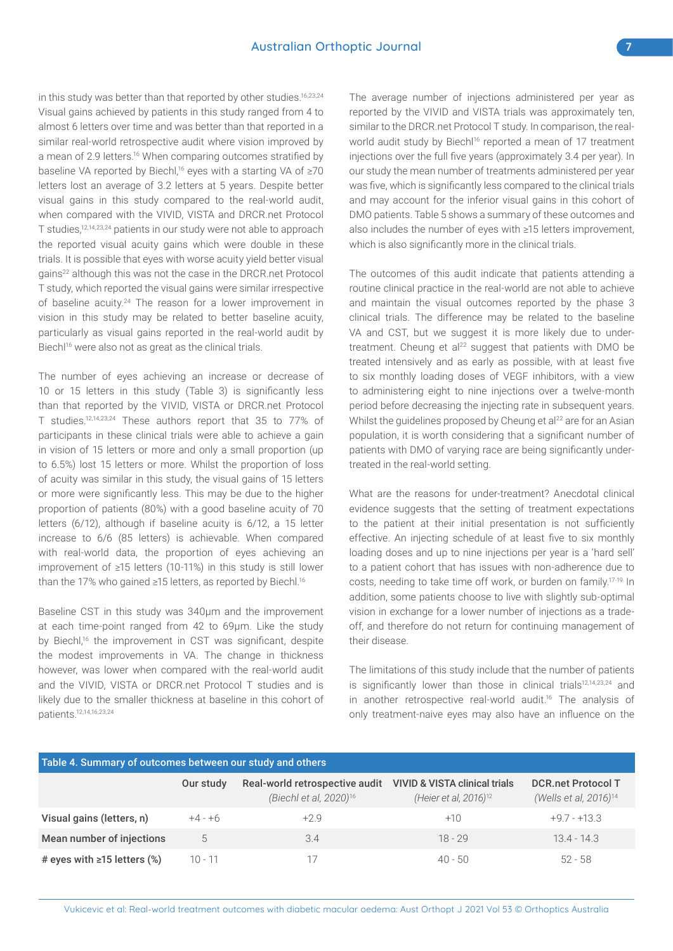in this study was better than that reported by other studies.<sup>16,23,24</sup> Visual gains achieved by patients in this study ranged from 4 to almost 6 letters over time and was better than that reported in a similar real-world retrospective audit where vision improved by a mean of 2.9 letters.<sup>16</sup> When comparing outcomes stratified by baseline VA reported by Biechl,<sup>16</sup> eyes with a starting VA of ≥70 letters lost an average of 3.2 letters at 5 years. Despite better visual gains in this study compared to the real-world audit, when compared with the VIVID, VISTA and DRCR.net Protocol T studies,12,14,23,24 patients in our study were not able to approach the reported visual acuity gains which were double in these trials. It is possible that eyes with worse acuity yield better visual gains<sup>22</sup> although this was not the case in the DRCR.net Protocol T study, which reported the visual gains were similar irrespective of baseline acuity.<sup>24</sup> The reason for a lower improvement in vision in this study may be related to better baseline acuity, particularly as visual gains reported in the real-world audit by Biechl<sup>16</sup> were also not as great as the clinical trials.

The number of eyes achieving an increase or decrease of 10 or 15 letters in this study (Table 3) is significantly less than that reported by the VIVID, VISTA or DRCR.net Protocol T studies.12,14,23,24 These authors report that 35 to 77% of participants in these clinical trials were able to achieve a gain in vision of 15 letters or more and only a small proportion (up to 6.5%) lost 15 letters or more. Whilst the proportion of loss of acuity was similar in this study, the visual gains of 15 letters or more were significantly less. This may be due to the higher proportion of patients (80%) with a good baseline acuity of 70 letters (6/12), although if baseline acuity is 6/12, a 15 letter increase to 6/6 (85 letters) is achievable. When compared with real-world data, the proportion of eyes achieving an improvement of ≥15 letters (10-11%) in this study is still lower than the 17% who gained ≥15 letters, as reported by Biechl.16

Baseline CST in this study was 340µm and the improvement at each time-point ranged from 42 to 69µm. Like the study by Biechl,<sup>16</sup> the improvement in CST was significant, despite the modest improvements in VA. The change in thickness however, was lower when compared with the real-world audit and the VIVID, VISTA or DRCR.net Protocol T studies and is likely due to the smaller thickness at baseline in this cohort of patients.12,14,16,23,24

The average number of injections administered per year as reported by the VIVID and VISTA trials was approximately ten, similar to the DRCR.net Protocol T study. In comparison, the realworld audit study by Biechl<sup>16</sup> reported a mean of 17 treatment injections over the full five years (approximately 3.4 per year). In our study the mean number of treatments administered per year was five, which is significantly less compared to the clinical trials and may account for the inferior visual gains in this cohort of DMO patients. Table 5 shows a summary of these outcomes and also includes the number of eyes with ≥15 letters improvement, which is also significantly more in the clinical trials.

The outcomes of this audit indicate that patients attending a routine clinical practice in the real-world are not able to achieve and maintain the visual outcomes reported by the phase 3 clinical trials. The difference may be related to the baseline VA and CST, but we suggest it is more likely due to undertreatment. Cheung et al<sup>22</sup> suggest that patients with DMO be treated intensively and as early as possible, with at least five to six monthly loading doses of VEGF inhibitors, with a view to administering eight to nine injections over a twelve-month period before decreasing the injecting rate in subsequent years. Whilst the quidelines proposed by Cheung et al<sup>22</sup> are for an Asian population, it is worth considering that a significant number of patients with DMO of varying race are being significantly undertreated in the real-world setting.

What are the reasons for under-treatment? Anecdotal clinical evidence suggests that the setting of treatment expectations to the patient at their initial presentation is not sufficiently effective. An injecting schedule of at least five to six monthly loading doses and up to nine injections per year is a 'hard sell' to a patient cohort that has issues with non-adherence due to costs, needing to take time off work, or burden on family.17-19 In addition, some patients choose to live with slightly sub-optimal vision in exchange for a lower number of injections as a tradeoff, and therefore do not return for continuing management of their disease.

The limitations of this study include that the number of patients is significantly lower than those in clinical trials<sup>12,14,23,24</sup> and in another retrospective real-world audit.16 The analysis of only treatment-naive eyes may also have an influence on the

| Table 4. Summary of outcomes between our study and others |           |                                                                      |                                                                               |                                                                |  |  |
|-----------------------------------------------------------|-----------|----------------------------------------------------------------------|-------------------------------------------------------------------------------|----------------------------------------------------------------|--|--|
|                                                           | Our study | Real-world retrospective audit<br>(Biechl et al, 2020) <sup>16</sup> | <b>VIVID &amp; VISTA clinical trials</b><br>(Heier et al, 2016) <sup>12</sup> | <b>DCR.net Protocol T</b><br>(Wells et al, 2016) <sup>14</sup> |  |  |
| Visual gains (letters, n)                                 | $+4-+6$   | $+2.9$                                                               | $+10$                                                                         | $+97 - +133$                                                   |  |  |
| Mean number of injections                                 | 5         | 3.4                                                                  | $18 - 29$                                                                     | $13.4 - 14.3$                                                  |  |  |
| # eyes with $\ge$ 15 letters (%)                          | $10 - 11$ | 17                                                                   | $40 - 50$                                                                     | $52 - 58$                                                      |  |  |